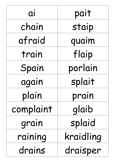| ai        | pait      |
|-----------|-----------|
| chain     | staip     |
| afraid    | quaim     |
| train     | flaip     |
| Spain     | porlain   |
| again     | splait    |
| plain     | prain     |
| complaint | glaib     |
| grain     | splaid    |
| raining   | kraidling |
| drains    | draisper  |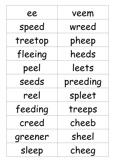| 88      | veem     |
|---------|----------|
| speed   | wreed    |
| treetop | pheep    |
| fleeing | heeds    |
| peel    | leets    |
| seeds   | preeding |
| reel    | spleet   |
| feeding | treeps   |
| creed   | cheeb    |
| greener | sheel    |
| sleep   | cheeg    |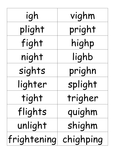| igh         | vighm     |
|-------------|-----------|
| plight      | pright    |
| fight       | highp     |
| night       | lighb     |
| sights      | prighn    |
| lighter     | splight   |
| tight       | trigher   |
| flights     | quighm    |
| unlight     | shighm    |
| frightening | chighping |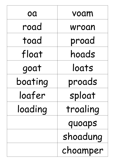| OQ      | voam     |
|---------|----------|
| road    | wroan    |
| toad    | proad    |
| float   | hoads    |
| goat    | loats    |
| boating | proads   |
| loafer  | sploat   |
| loading | troaling |
|         | quoaps   |
|         | shoadung |
|         | choamper |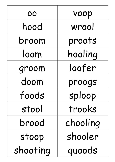| 00       | voop     |
|----------|----------|
| hood     | wrool    |
| broom    | proots   |
| loom     | hooling  |
| groom    | loofer   |
| doom     | proogs   |
| foods    | sploop   |
| stool    | trooks   |
| brood    | chooling |
| stoop    | shooler  |
| shooting | quoods   |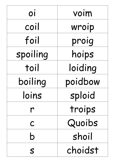| 01       | voim    |
|----------|---------|
| coil     | wroip   |
| foil     | proig   |
| spoiling | hoips   |
| toil     | loiding |
| boiling  | poidbow |
| loins    | sploid  |
|          | troips  |
| C        | Quoibs  |
| b        | shoil   |
| S        | choidst |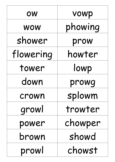| OW        | vowp    |
|-----------|---------|
| WOW       | phowing |
| shower    | prow    |
| flowering | howter  |
| tower     | lowp    |
| down      | prowq   |
| crown     | splowm  |
| growl     | trowter |
| power     | chowper |
| brown     | showd   |
| prowl     | chowst  |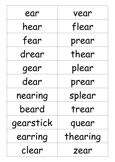| ear       | vear     |
|-----------|----------|
| hear      | flear    |
| fear      | prear    |
| drear     | thear    |
| gear      | plear    |
| dear      | prear    |
| nearing   | splear   |
| beard     | trear    |
| gearstick | quear    |
| earring   | thearing |
| clear     | zear     |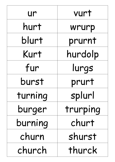| ur      | vurt     |
|---------|----------|
| hurt    | wrurp    |
| blurt   | prurnt   |
| Kurt    | hurdolp  |
| fur     | lurgs    |
| burst   | prurt    |
| turning | splurl   |
| burger  | trurping |
| burning | churt    |
| churn   | shurst   |
| church  | thurck   |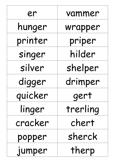| er      | vammer   |
|---------|----------|
| hunger  | wrapper  |
| printer | priper   |
| singer  | hilder   |
| silver  | shelper  |
| digger  | drimper  |
| quicker | gert     |
| linger  | trerling |
| cracker | chert    |
| popper  | sherck   |
| jumper  | therp    |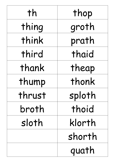| th     | thop   |
|--------|--------|
| thing  | groth  |
| think  | prath  |
| third  | thaid  |
| thank  | theap  |
| thump  | thonk  |
| thrust | sploth |
| broth  | thoid  |
| sloth  | klorth |
|        | shorth |
|        | quath  |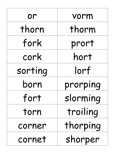| or      | vorm     |
|---------|----------|
| thorn   | thorm    |
| fork    | prort    |
| cork    | hort     |
| sorting | lorf     |
| born    | prorping |
| fort    | slorming |
| torn    | troiling |
| corner  | thorping |
| cornet  | shorper  |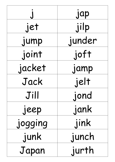|         | jap    |
|---------|--------|
| jet     | jilp   |
| jump    | junder |
| joint   | joft   |
| jacket  | jamp   |
| Jack    | jelt   |
| Jill    | jond   |
| jeep    | jank   |
| jogging | jink   |
| junk    | junch  |
| Japan   | jurth  |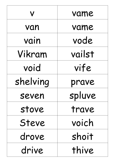|          | vame   |
|----------|--------|
| van      | vame   |
| vain     | vode   |
| Vikram   | vailst |
| void     | vife   |
| shelving | prave  |
| seven    | spluve |
| stove    | trave  |
| Steve    | voich  |
| drove    | shoit  |
| drive    | thive  |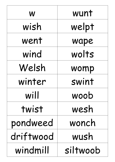| W         | wunt     |
|-----------|----------|
| wish      | welpt    |
| went      | wape     |
| wind      | wolts    |
| Welsh     | womp     |
| winter    | swint    |
| will      | woob     |
| twist     | wesh     |
| pondweed  | wonch    |
| driftwood | wush     |
| windmill  | siltwoob |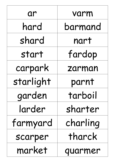| ar        | varm     |
|-----------|----------|
| hard      | barmand  |
| shard     | nart     |
| start     | fardop   |
| carpark   | zarman   |
| starlight | parnt    |
| garden    | tarboil  |
| larder    | sharter  |
| farmyard  | charling |
| scarper   | tharck   |
| market    | quarmer  |